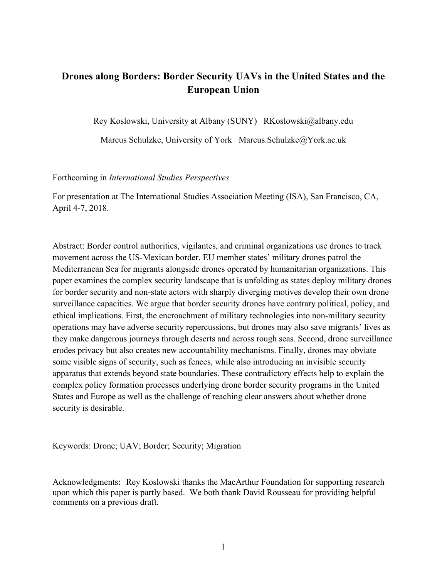# **Drones along Borders: Border Security UAVs in the United States and the European Union**

Rey Koslowski, University at Albany (SUNY) RKoslowski@albany.edu

Marcus Schulzke, University of York Marcus.Schulzke@York.ac.uk

# Forthcoming in *International Studies Perspectives*

For presentation at The International Studies Association Meeting (ISA), San Francisco, CA, April 4-7, 2018.

Abstract: Border control authorities, vigilantes, and criminal organizations use drones to track movement across the US-Mexican border. EU member states' military drones patrol the Mediterranean Sea for migrants alongside drones operated by humanitarian organizations. This paper examines the complex security landscape that is unfolding as states deploy military drones for border security and non-state actors with sharply diverging motives develop their own drone surveillance capacities. We argue that border security drones have contrary political, policy, and ethical implications. First, the encroachment of military technologies into non-military security operations may have adverse security repercussions, but drones may also save migrants' lives as they make dangerous journeys through deserts and across rough seas. Second, drone surveillance erodes privacy but also creates new accountability mechanisms. Finally, drones may obviate some visible signs of security, such as fences, while also introducing an invisible security apparatus that extends beyond state boundaries. These contradictory effects help to explain the complex policy formation processes underlying drone border security programs in the United States and Europe as well as the challenge of reaching clear answers about whether drone security is desirable.

Keywords: Drone; UAV; Border; Security; Migration

Acknowledgments: Rey Koslowski thanks the MacArthur Foundation for supporting research upon which this paper is partly based. We both thank David Rousseau for providing helpful comments on a previous draft.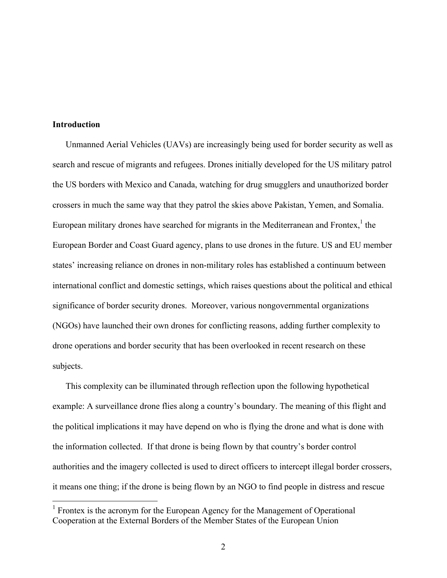# **Introduction**

Unmanned Aerial Vehicles (UAVs) are increasingly being used for border security as well as search and rescue of migrants and refugees. Drones initially developed for the US military patrol the US borders with Mexico and Canada, watching for drug smugglers and unauthorized border crossers in much the same way that they patrol the skies above Pakistan, Yemen, and Somalia. European military drones have searched for migrants in the Mediterranean and Frontex, <sup>1</sup> the European Border and Coast Guard agency, plans to use drones in the future. US and EU member states' increasing reliance on drones in non-military roles has established a continuum between international conflict and domestic settings, which raises questions about the political and ethical significance of border security drones. Moreover, various nongovernmental organizations (NGOs) have launched their own drones for conflicting reasons, adding further complexity to drone operations and border security that has been overlooked in recent research on these subjects.

This complexity can be illuminated through reflection upon the following hypothetical example: A surveillance drone flies along a country's boundary. The meaning of this flight and the political implications it may have depend on who is flying the drone and what is done with the information collected. If that drone is being flown by that country's border control authorities and the imagery collected is used to direct officers to intercept illegal border crossers, it means one thing; if the drone is being flown by an NGO to find people in distress and rescue

<sup>&</sup>lt;sup>1</sup> Frontex is the acronym for the European Agency for the Management of Operational Cooperation at the External Borders of the Member States of the European Union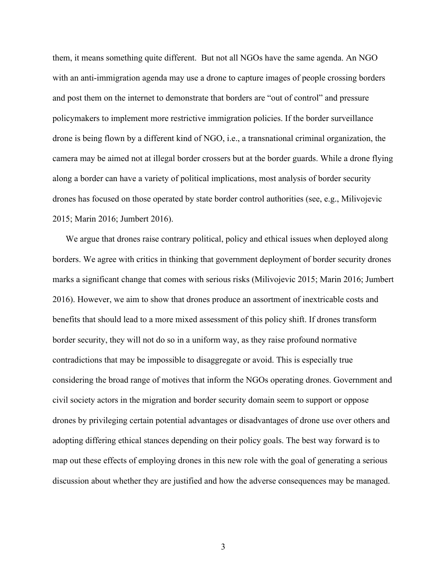them, it means something quite different. But not all NGOs have the same agenda. An NGO with an anti-immigration agenda may use a drone to capture images of people crossing borders and post them on the internet to demonstrate that borders are "out of control" and pressure policymakers to implement more restrictive immigration policies. If the border surveillance drone is being flown by a different kind of NGO, i.e., a transnational criminal organization, the camera may be aimed not at illegal border crossers but at the border guards. While a drone flying along a border can have a variety of political implications, most analysis of border security drones has focused on those operated by state border control authorities (see, e.g., Milivojevic 2015; Marin 2016; Jumbert 2016).

We argue that drones raise contrary political, policy and ethical issues when deployed along borders. We agree with critics in thinking that government deployment of border security drones marks a significant change that comes with serious risks (Milivojevic 2015; Marin 2016; Jumbert 2016). However, we aim to show that drones produce an assortment of inextricable costs and benefits that should lead to a more mixed assessment of this policy shift. If drones transform border security, they will not do so in a uniform way, as they raise profound normative contradictions that may be impossible to disaggregate or avoid. This is especially true considering the broad range of motives that inform the NGOs operating drones. Government and civil society actors in the migration and border security domain seem to support or oppose drones by privileging certain potential advantages or disadvantages of drone use over others and adopting differing ethical stances depending on their policy goals. The best way forward is to map out these effects of employing drones in this new role with the goal of generating a serious discussion about whether they are justified and how the adverse consequences may be managed.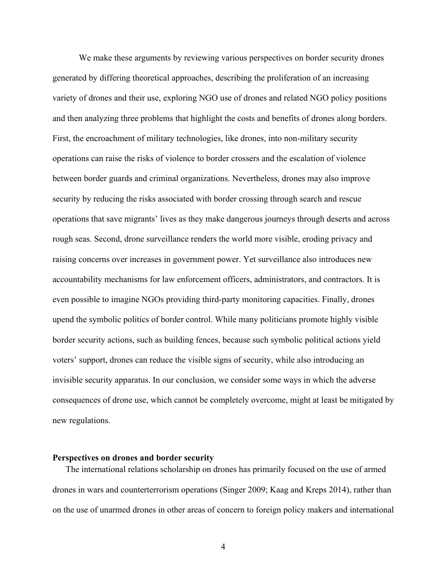We make these arguments by reviewing various perspectives on border security drones generated by differing theoretical approaches, describing the proliferation of an increasing variety of drones and their use, exploring NGO use of drones and related NGO policy positions and then analyzing three problems that highlight the costs and benefits of drones along borders. First, the encroachment of military technologies, like drones, into non-military security operations can raise the risks of violence to border crossers and the escalation of violence between border guards and criminal organizations. Nevertheless, drones may also improve security by reducing the risks associated with border crossing through search and rescue operations that save migrants' lives as they make dangerous journeys through deserts and across rough seas. Second, drone surveillance renders the world more visible, eroding privacy and raising concerns over increases in government power. Yet surveillance also introduces new accountability mechanisms for law enforcement officers, administrators, and contractors. It is even possible to imagine NGOs providing third-party monitoring capacities. Finally, drones upend the symbolic politics of border control. While many politicians promote highly visible border security actions, such as building fences, because such symbolic political actions yield voters' support, drones can reduce the visible signs of security, while also introducing an invisible security apparatus. In our conclusion, we consider some ways in which the adverse consequences of drone use, which cannot be completely overcome, might at least be mitigated by new regulations.

## **Perspectives on drones and border security**

The international relations scholarship on drones has primarily focused on the use of armed drones in wars and counterterrorism operations (Singer 2009; Kaag and Kreps 2014), rather than on the use of unarmed drones in other areas of concern to foreign policy makers and international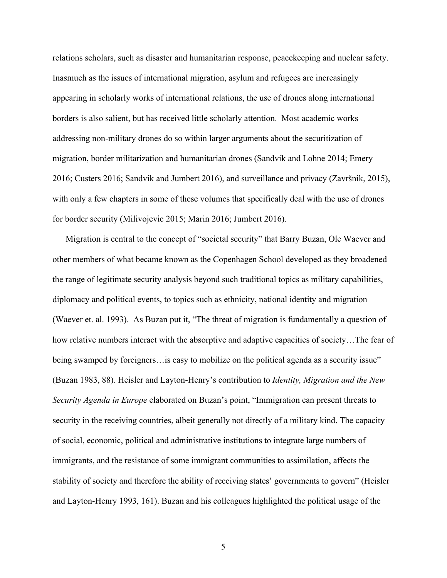relations scholars, such as disaster and humanitarian response, peacekeeping and nuclear safety. Inasmuch as the issues of international migration, asylum and refugees are increasingly appearing in scholarly works of international relations, the use of drones along international borders is also salient, but has received little scholarly attention. Most academic works addressing non-military drones do so within larger arguments about the securitization of migration, border militarization and humanitarian drones (Sandvik and Lohne 2014; Emery 2016; Custers 2016; Sandvik and Jumbert 2016), and surveillance and privacy (Završnik, 2015), with only a few chapters in some of these volumes that specifically deal with the use of drones for border security (Milivojevic 2015; Marin 2016; Jumbert 2016).

Migration is central to the concept of "societal security" that Barry Buzan, Ole Waever and other members of what became known as the Copenhagen School developed as they broadened the range of legitimate security analysis beyond such traditional topics as military capabilities, diplomacy and political events, to topics such as ethnicity, national identity and migration (Waever et. al. 1993). As Buzan put it, "The threat of migration is fundamentally a question of how relative numbers interact with the absorptive and adaptive capacities of society…The fear of being swamped by foreigners…is easy to mobilize on the political agenda as a security issue" (Buzan 1983, 88). Heisler and Layton-Henry's contribution to *Identity, Migration and the New Security Agenda in Europe* elaborated on Buzan's point, "Immigration can present threats to security in the receiving countries, albeit generally not directly of a military kind. The capacity of social, economic, political and administrative institutions to integrate large numbers of immigrants, and the resistance of some immigrant communities to assimilation, affects the stability of society and therefore the ability of receiving states' governments to govern" (Heisler and Layton-Henry 1993, 161). Buzan and his colleagues highlighted the political usage of the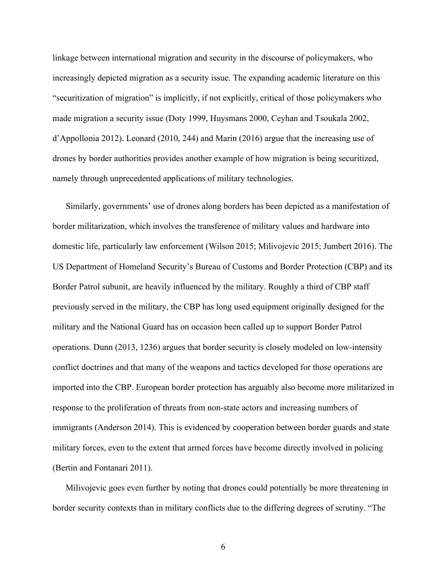linkage between international migration and security in the discourse of policymakers, who increasingly depicted migration as a security issue. The expanding academic literature on this "securitization of migration" is implicitly, if not explicitly, critical of those policymakers who made migration a security issue (Doty 1999, Huysmans 2000, Ceyhan and Tsoukala 2002, d'Appollonia 2012). Leonard (2010, 244) and Marin (2016) argue that the increasing use of drones by border authorities provides another example of how migration is being securitized, namely through unprecedented applications of military technologies.

Similarly, governments' use of drones along borders has been depicted as a manifestation of border militarization, which involves the transference of military values and hardware into domestic life, particularly law enforcement (Wilson 2015; Milivojevic 2015; Jumbert 2016). The US Department of Homeland Security's Bureau of Customs and Border Protection (CBP) and its Border Patrol subunit, are heavily influenced by the military. Roughly a third of CBP staff previously served in the military, the CBP has long used equipment originally designed for the military and the National Guard has on occasion been called up to support Border Patrol operations. Dunn (2013, 1236) argues that border security is closely modeled on low-intensity conflict doctrines and that many of the weapons and tactics developed for those operations are imported into the CBP. European border protection has arguably also become more militarized in response to the proliferation of threats from non-state actors and increasing numbers of immigrants (Anderson 2014). This is evidenced by cooperation between border guards and state military forces, even to the extent that armed forces have become directly involved in policing (Bertin and Fontanari 2011).

Milivojevic goes even further by noting that drones could potentially be more threatening in border security contexts than in military conflicts due to the differing degrees of scrutiny. "The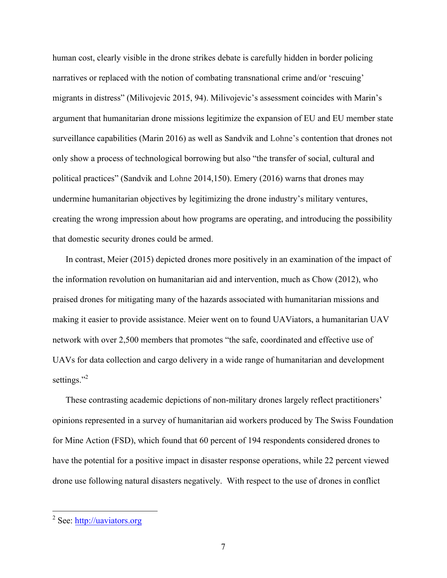human cost, clearly visible in the drone strikes debate is carefully hidden in border policing narratives or replaced with the notion of combating transnational crime and/or 'rescuing' migrants in distress" (Milivojevic 2015, 94). Milivojevic's assessment coincides with Marin's argument that humanitarian drone missions legitimize the expansion of EU and EU member state surveillance capabilities (Marin 2016) as well as Sandvik and Lohne's contention that drones not only show a process of technological borrowing but also "the transfer of social, cultural and political practices" (Sandvik and Lohne 2014,150). Emery (2016) warns that drones may undermine humanitarian objectives by legitimizing the drone industry's military ventures, creating the wrong impression about how programs are operating, and introducing the possibility that domestic security drones could be armed.

In contrast, Meier (2015) depicted drones more positively in an examination of the impact of the information revolution on humanitarian aid and intervention, much as Chow (2012), who praised drones for mitigating many of the hazards associated with humanitarian missions and making it easier to provide assistance. Meier went on to found UAViators, a humanitarian UAV network with over 2,500 members that promotes "the safe, coordinated and effective use of UAVs for data collection and cargo delivery in a wide range of humanitarian and development settings."<sup>2</sup>

These contrasting academic depictions of non-military drones largely reflect practitioners' opinions represented in a survey of humanitarian aid workers produced by The Swiss Foundation for Mine Action (FSD), which found that 60 percent of 194 respondents considered drones to have the potential for a positive impact in disaster response operations, while 22 percent viewed drone use following natural disasters negatively. With respect to the use of drones in conflict

<sup>2</sup> See: http://uaviators.org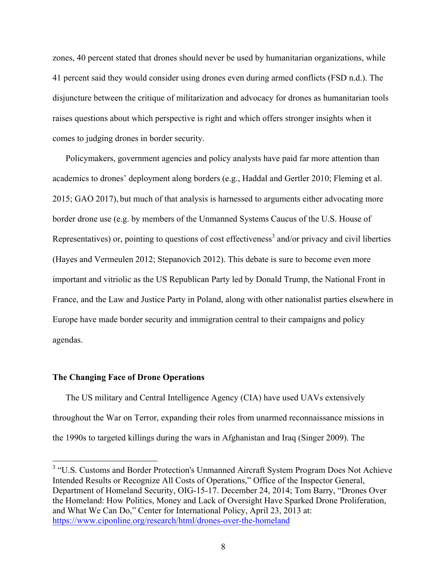zones, 40 percent stated that drones should never be used by humanitarian organizations, while 41 percent said they would consider using drones even during armed conflicts (FSD n.d.). The disjuncture between the critique of militarization and advocacy for drones as humanitarian tools raises questions about which perspective is right and which offers stronger insights when it comes to judging drones in border security.

Policymakers, government agencies and policy analysts have paid far more attention than academics to drones' deployment along borders (e.g., Haddal and Gertler 2010; Fleming et al. 2015; GAO 2017), but much of that analysis is harnessed to arguments either advocating more border drone use (e.g. by members of the Unmanned Systems Caucus of the U.S. House of Representatives) or, pointing to questions of cost effectiveness<sup>3</sup> and/or privacy and civil liberties (Hayes and Vermeulen 2012; Stepanovich 2012). This debate is sure to become even more important and vitriolic as the US Republican Party led by Donald Trump, the National Front in France, and the Law and Justice Party in Poland, along with other nationalist parties elsewhere in Europe have made border security and immigration central to their campaigns and policy agendas.

## **The Changing Face of Drone Operations**

The US military and Central Intelligence Agency (CIA) have used UAVs extensively throughout the War on Terror, expanding their roles from unarmed reconnaissance missions in the 1990s to targeted killings during the wars in Afghanistan and Iraq (Singer 2009). The

<sup>&</sup>lt;sup>3</sup> "U.S. Customs and Border Protection's Unmanned Aircraft System Program Does Not Achieve Intended Results or Recognize All Costs of Operations," Office of the Inspector General, Department of Homeland Security, OIG-15-17. December 24, 2014; Tom Barry, "Drones Over the Homeland: How Politics, Money and Lack of Oversight Have Sparked Drone Proliferation, and What We Can Do," Center for International Policy, April 23, 2013 at: https://www.ciponline.org/research/html/drones-over-the-homeland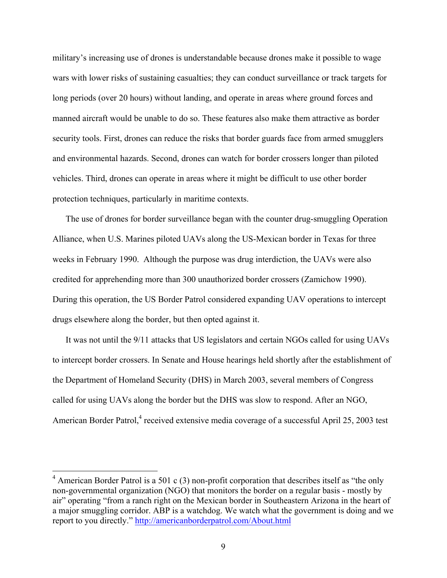military's increasing use of drones is understandable because drones make it possible to wage wars with lower risks of sustaining casualties; they can conduct surveillance or track targets for long periods (over 20 hours) without landing, and operate in areas where ground forces and manned aircraft would be unable to do so. These features also make them attractive as border security tools. First, drones can reduce the risks that border guards face from armed smugglers and environmental hazards. Second, drones can watch for border crossers longer than piloted vehicles. Third, drones can operate in areas where it might be difficult to use other border protection techniques, particularly in maritime contexts.

The use of drones for border surveillance began with the counter drug-smuggling Operation Alliance, when U.S. Marines piloted UAVs along the US-Mexican border in Texas for three weeks in February 1990. Although the purpose was drug interdiction, the UAVs were also credited for apprehending more than 300 unauthorized border crossers (Zamichow 1990). During this operation, the US Border Patrol considered expanding UAV operations to intercept drugs elsewhere along the border, but then opted against it.

It was not until the 9/11 attacks that US legislators and certain NGOs called for using UAVs to intercept border crossers. In Senate and House hearings held shortly after the establishment of the Department of Homeland Security (DHS) in March 2003, several members of Congress called for using UAVs along the border but the DHS was slow to respond. After an NGO, American Border Patrol,<sup>4</sup> received extensive media coverage of a successful April 25, 2003 test

<sup>&</sup>lt;sup>4</sup> American Border Patrol is a 501 c (3) non-profit corporation that describes itself as "the only non-governmental organization (NGO) that monitors the border on a regular basis - mostly by air" operating "from a ranch right on the Mexican border in Southeastern Arizona in the heart of a major smuggling corridor. ABP is a watchdog. We watch what the government is doing and we report to you directly." http://americanborderpatrol.com/About.html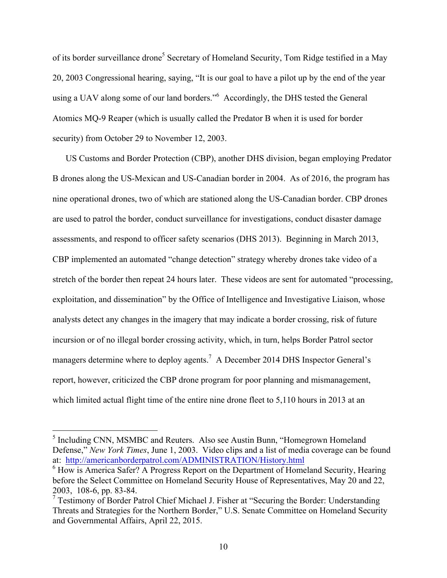of its border surveillance drone<sup>5</sup> Secretary of Homeland Security, Tom Ridge testified in a May 20, 2003 Congressional hearing, saying, "It is our goal to have a pilot up by the end of the year using a UAV along some of our land borders."<sup>6</sup> Accordingly, the DHS tested the General Atomics MQ-9 Reaper (which is usually called the Predator B when it is used for border security) from October 29 to November 12, 2003.

US Customs and Border Protection (CBP), another DHS division, began employing Predator B drones along the US-Mexican and US-Canadian border in 2004. As of 2016, the program has nine operational drones, two of which are stationed along the US-Canadian border. CBP drones are used to patrol the border, conduct surveillance for investigations, conduct disaster damage assessments, and respond to officer safety scenarios (DHS 2013). Beginning in March 2013, CBP implemented an automated "change detection" strategy whereby drones take video of a stretch of the border then repeat 24 hours later. These videos are sent for automated "processing, exploitation, and dissemination" by the Office of Intelligence and Investigative Liaison, whose analysts detect any changes in the imagery that may indicate a border crossing, risk of future incursion or of no illegal border crossing activity, which, in turn, helps Border Patrol sector managers determine where to deploy agents.<sup>7</sup> A December 2014 DHS Inspector General's report, however, criticized the CBP drone program for poor planning and mismanagement, which limited actual flight time of the entire nine drone fleet to 5,110 hours in 2013 at an

<sup>5</sup> Including CNN, MSMBC and Reuters. Also see Austin Bunn, "Homegrown Homeland Defense," *New York Times*, June 1, 2003. Video clips and a list of media coverage can be found at: http://americanborderpatrol.com/ADMINISTRATION/History.html

<sup>&</sup>lt;sup>6</sup> How is America Safer? A Progress Report on the Department of Homeland Security, Hearing before the Select Committee on Homeland Security House of Representatives, May 20 and 22, 2003, 108-6, pp. 83-84.

<sup>7</sup> Testimony of Border Patrol Chief Michael J. Fisher at "Securing the Border: Understanding Threats and Strategies for the Northern Border," U.S. Senate Committee on Homeland Security and Governmental Affairs, April 22, 2015.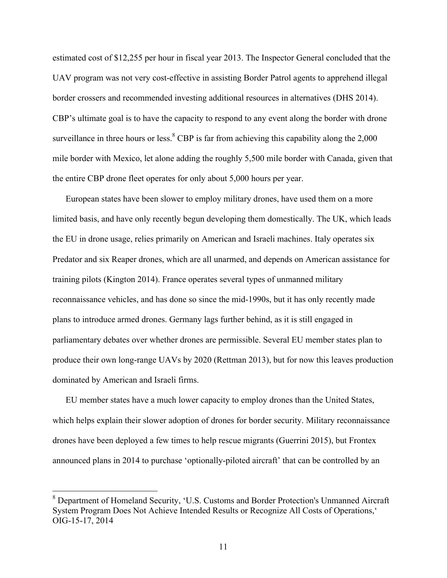estimated cost of \$12,255 per hour in fiscal year 2013. The Inspector General concluded that the UAV program was not very cost-effective in assisting Border Patrol agents to apprehend illegal border crossers and recommended investing additional resources in alternatives (DHS 2014). CBP's ultimate goal is to have the capacity to respond to any event along the border with drone surveillance in three hours or less. $8$  CBP is far from achieving this capability along the 2,000 mile border with Mexico, let alone adding the roughly 5,500 mile border with Canada, given that the entire CBP drone fleet operates for only about 5,000 hours per year.

European states have been slower to employ military drones, have used them on a more limited basis, and have only recently begun developing them domestically. The UK, which leads the EU in drone usage, relies primarily on American and Israeli machines. Italy operates six Predator and six Reaper drones, which are all unarmed, and depends on American assistance for training pilots (Kington 2014). France operates several types of unmanned military reconnaissance vehicles, and has done so since the mid-1990s, but it has only recently made plans to introduce armed drones. Germany lags further behind, as it is still engaged in parliamentary debates over whether drones are permissible. Several EU member states plan to produce their own long-range UAVs by 2020 (Rettman 2013), but for now this leaves production dominated by American and Israeli firms.

EU member states have a much lower capacity to employ drones than the United States, which helps explain their slower adoption of drones for border security. Military reconnaissance drones have been deployed a few times to help rescue migrants (Guerrini 2015), but Frontex announced plans in 2014 to purchase 'optionally-piloted aircraft' that can be controlled by an

<sup>8</sup> Department of Homeland Security, 'U.S. Customs and Border Protection's Unmanned Aircraft System Program Does Not Achieve Intended Results or Recognize All Costs of Operations,' OIG-15-17, 2014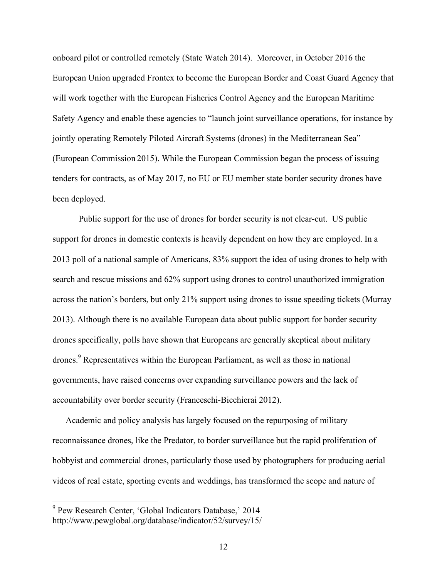onboard pilot or controlled remotely (State Watch 2014). Moreover, in October 2016 the European Union upgraded Frontex to become the European Border and Coast Guard Agency that will work together with the European Fisheries Control Agency and the European Maritime Safety Agency and enable these agencies to "launch joint surveillance operations, for instance by jointly operating Remotely Piloted Aircraft Systems (drones) in the Mediterranean Sea" (European Commission 2015). While the European Commission began the process of issuing tenders for contracts, as of May 2017, no EU or EU member state border security drones have been deployed.

Public support for the use of drones for border security is not clear-cut. US public support for drones in domestic contexts is heavily dependent on how they are employed. In a 2013 poll of a national sample of Americans, 83% support the idea of using drones to help with search and rescue missions and 62% support using drones to control unauthorized immigration across the nation's borders, but only 21% support using drones to issue speeding tickets (Murray 2013). Although there is no available European data about public support for border security drones specifically, polls have shown that Europeans are generally skeptical about military drones.<sup>9</sup> Representatives within the European Parliament, as well as those in national governments, have raised concerns over expanding surveillance powers and the lack of accountability over border security (Franceschi-Bicchierai 2012).

Academic and policy analysis has largely focused on the repurposing of military reconnaissance drones, like the Predator, to border surveillance but the rapid proliferation of hobbyist and commercial drones, particularly those used by photographers for producing aerial videos of real estate, sporting events and weddings, has transformed the scope and nature of

<sup>&</sup>lt;sup>9</sup> Pew Research Center, 'Global Indicators Database,' 2014 http://www.pewglobal.org/database/indicator/52/survey/15/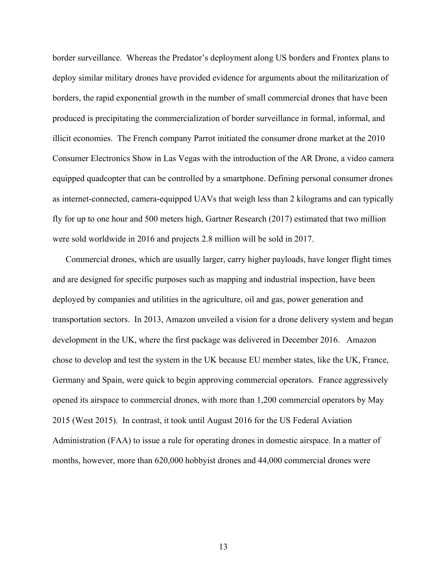border surveillance. Whereas the Predator's deployment along US borders and Frontex plans to deploy similar military drones have provided evidence for arguments about the militarization of borders, the rapid exponential growth in the number of small commercial drones that have been produced is precipitating the commercialization of border surveillance in formal, informal, and illicit economies. The French company Parrot initiated the consumer drone market at the 2010 Consumer Electronics Show in Las Vegas with the introduction of the AR Drone, a video camera equipped quadcopter that can be controlled by a smartphone. Defining personal consumer drones as internet-connected, camera-equipped UAVs that weigh less than 2 kilograms and can typically fly for up to one hour and 500 meters high, Gartner Research (2017) estimated that two million were sold worldwide in 2016 and projects 2.8 million will be sold in 2017.

Commercial drones, which are usually larger, carry higher payloads, have longer flight times and are designed for specific purposes such as mapping and industrial inspection, have been deployed by companies and utilities in the agriculture, oil and gas, power generation and transportation sectors. In 2013, Amazon unveiled a vision for a drone delivery system and began development in the UK, where the first package was delivered in December 2016. Amazon chose to develop and test the system in the UK because EU member states, like the UK, France, Germany and Spain, were quick to begin approving commercial operators. France aggressively opened its airspace to commercial drones, with more than 1,200 commercial operators by May 2015 (West 2015). In contrast, it took until August 2016 for the US Federal Aviation Administration (FAA) to issue a rule for operating drones in domestic airspace. In a matter of months, however, more than 620,000 hobbyist drones and 44,000 commercial drones were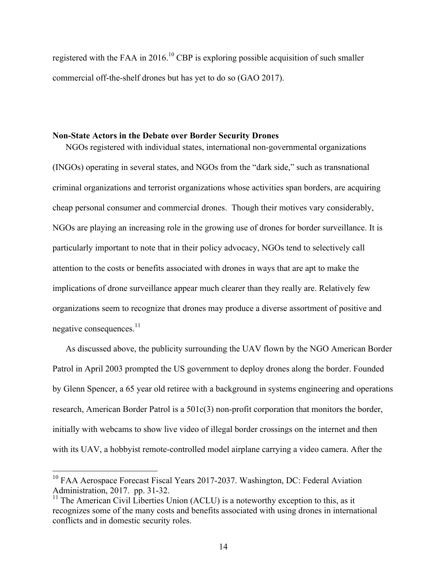registered with the FAA in 2016.<sup>10</sup> CBP is exploring possible acquisition of such smaller commercial off-the-shelf drones but has yet to do so (GAO 2017).

## **Non-State Actors in the Debate over Border Security Drones**

NGOs registered with individual states, international non-governmental organizations (INGOs) operating in several states, and NGOs from the "dark side," such as transnational criminal organizations and terrorist organizations whose activities span borders, are acquiring cheap personal consumer and commercial drones. Though their motives vary considerably, NGOs are playing an increasing role in the growing use of drones for border surveillance. It is particularly important to note that in their policy advocacy, NGOs tend to selectively call attention to the costs or benefits associated with drones in ways that are apt to make the implications of drone surveillance appear much clearer than they really are. Relatively few organizations seem to recognize that drones may produce a diverse assortment of positive and negative consequences. $11$ 

As discussed above, the publicity surrounding the UAV flown by the NGO American Border Patrol in April 2003 prompted the US government to deploy drones along the border. Founded by Glenn Spencer, a 65 year old retiree with a background in systems engineering and operations research, American Border Patrol is a 501c(3) non-profit corporation that monitors the border, initially with webcams to show live video of illegal border crossings on the internet and then with its UAV, a hobbyist remote-controlled model airplane carrying a video camera. After the

<sup>&</sup>lt;sup>10</sup> FAA Aerospace Forecast Fiscal Years 2017-2037. Washington, DC: Federal Aviation Administration, 2017. pp. 31-32.

 $11$  The American Civil Liberties Union (ACLU) is a noteworthy exception to this, as it recognizes some of the many costs and benefits associated with using drones in international conflicts and in domestic security roles.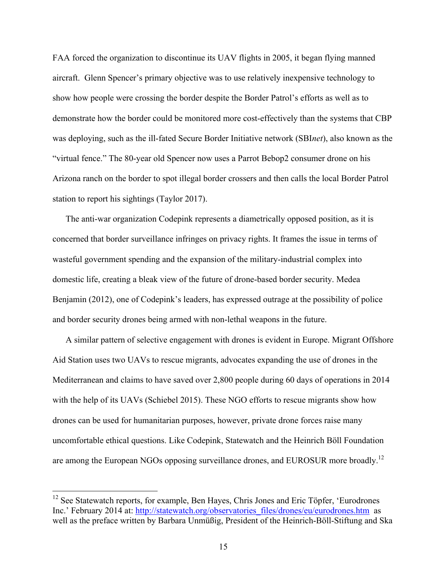FAA forced the organization to discontinue its UAV flights in 2005, it began flying manned aircraft. Glenn Spencer's primary objective was to use relatively inexpensive technology to show how people were crossing the border despite the Border Patrol's efforts as well as to demonstrate how the border could be monitored more cost-effectively than the systems that CBP was deploying, such as the ill-fated Secure Border Initiative network (SBI*net*), also known as the "virtual fence." The 80-year old Spencer now uses a Parrot Bebop2 consumer drone on his Arizona ranch on the border to spot illegal border crossers and then calls the local Border Patrol station to report his sightings (Taylor 2017).

The anti-war organization Codepink represents a diametrically opposed position, as it is concerned that border surveillance infringes on privacy rights. It frames the issue in terms of wasteful government spending and the expansion of the military-industrial complex into domestic life, creating a bleak view of the future of drone-based border security. Medea Benjamin (2012), one of Codepink's leaders, has expressed outrage at the possibility of police and border security drones being armed with non-lethal weapons in the future.

A similar pattern of selective engagement with drones is evident in Europe. Migrant Offshore Aid Station uses two UAVs to rescue migrants, advocates expanding the use of drones in the Mediterranean and claims to have saved over 2,800 people during 60 days of operations in 2014 with the help of its UAVs (Schiebel 2015). These NGO efforts to rescue migrants show how drones can be used for humanitarian purposes, however, private drone forces raise many uncomfortable ethical questions. Like Codepink, Statewatch and the Heinrich Böll Foundation are among the European NGOs opposing surveillance drones, and EUROSUR more broadly.<sup>12</sup>

<sup>&</sup>lt;sup>12</sup> See Statewatch reports, for example, Ben Hayes, Chris Jones and Eric Töpfer, 'Eurodrones Inc.' February 2014 at: http://statewatch.org/observatories\_files/drones/eu/eurodrones.htm as well as the preface written by Barbara Unmüßig, President of the Heinrich-Böll-Stiftung and Ska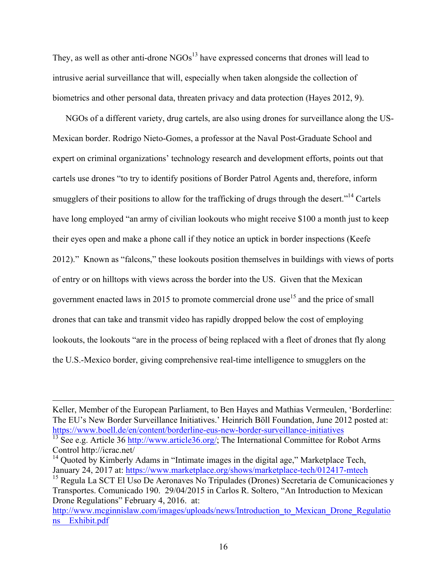They, as well as other anti-drone NGOs<sup>13</sup> have expressed concerns that drones will lead to intrusive aerial surveillance that will, especially when taken alongside the collection of biometrics and other personal data, threaten privacy and data protection (Hayes 2012, 9).

NGOs of a different variety, drug cartels, are also using drones for surveillance along the US-Mexican border. Rodrigo Nieto-Gomes, a professor at the Naval Post-Graduate School and expert on criminal organizations' technology research and development efforts, points out that cartels use drones "to try to identify positions of Border Patrol Agents and, therefore, inform smugglers of their positions to allow for the trafficking of drugs through the desert."<sup>14</sup> Cartels have long employed "an army of civilian lookouts who might receive \$100 a month just to keep their eyes open and make a phone call if they notice an uptick in border inspections (Keefe 2012)." Known as "falcons," these lookouts position themselves in buildings with views of ports of entry or on hilltops with views across the border into the US. Given that the Mexican government enacted laws in 2015 to promote commercial drone use<sup>15</sup> and the price of small drones that can take and transmit video has rapidly dropped below the cost of employing lookouts, the lookouts "are in the process of being replaced with a fleet of drones that fly along the U.S.-Mexico border, giving comprehensive real-time intelligence to smugglers on the

Keller, Member of the European Parliament, to Ben Hayes and Mathias Vermeulen, 'Borderline: The EU's New Border Surveillance Initiatives.' Heinrich Böll Foundation, June 2012 posted at: https://www.boell.de/en/content/borderline-eus-new-border-surveillance-initiatives<br><sup>13</sup> See e.g. Article 36 http://www.article36.org/; The International Committee for Robot Arms

 $\overline{a}$ 

Control http://icrac.net/

 $14$  Quoted by Kimberly Adams in "Intimate images in the digital age," Marketplace Tech, January 24, 2017 at: https://www.marketplace.org/shows/marketplace-tech/012417-mtech

<sup>15</sup> Regula La SCT El Uso De Aeronaves No Tripulades (Drones) Secretaria de Comunicaciones y Transportes. Comunicado 190. 29/04/2015 in Carlos R. Soltero, "An Introduction to Mexican Drone Regulations" February 4, 2016. at:

http://www.mcginnislaw.com/images/uploads/news/Introduction to Mexican Drone Regulatio ns\_\_Exhibit.pdf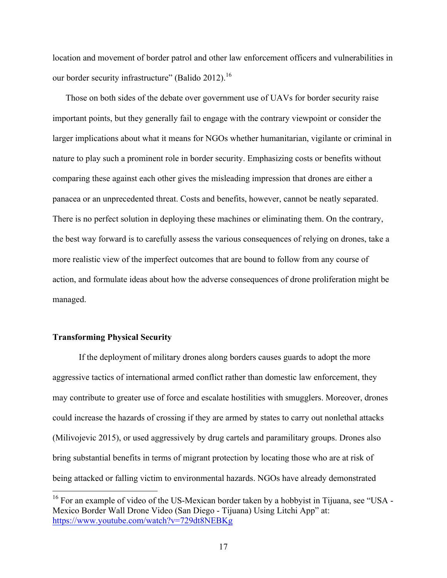location and movement of border patrol and other law enforcement officers and vulnerabilities in our border security infrastructure" (Balido 2012).<sup>16</sup>

Those on both sides of the debate over government use of UAVs for border security raise important points, but they generally fail to engage with the contrary viewpoint or consider the larger implications about what it means for NGOs whether humanitarian, vigilante or criminal in nature to play such a prominent role in border security. Emphasizing costs or benefits without comparing these against each other gives the misleading impression that drones are either a panacea or an unprecedented threat. Costs and benefits, however, cannot be neatly separated. There is no perfect solution in deploying these machines or eliminating them. On the contrary, the best way forward is to carefully assess the various consequences of relying on drones, take a more realistic view of the imperfect outcomes that are bound to follow from any course of action, and formulate ideas about how the adverse consequences of drone proliferation might be managed.

# **Transforming Physical Security**

If the deployment of military drones along borders causes guards to adopt the more aggressive tactics of international armed conflict rather than domestic law enforcement, they may contribute to greater use of force and escalate hostilities with smugglers. Moreover, drones could increase the hazards of crossing if they are armed by states to carry out nonlethal attacks (Milivojevic 2015), or used aggressively by drug cartels and paramilitary groups. Drones also bring substantial benefits in terms of migrant protection by locating those who are at risk of being attacked or falling victim to environmental hazards. NGOs have already demonstrated

<sup>&</sup>lt;sup>16</sup> For an example of video of the US-Mexican border taken by a hobbyist in Tijuana, see "USA -Mexico Border Wall Drone Video (San Diego - Tijuana) Using Litchi App" at: https://www.youtube.com/watch?v=729dt8NEBKg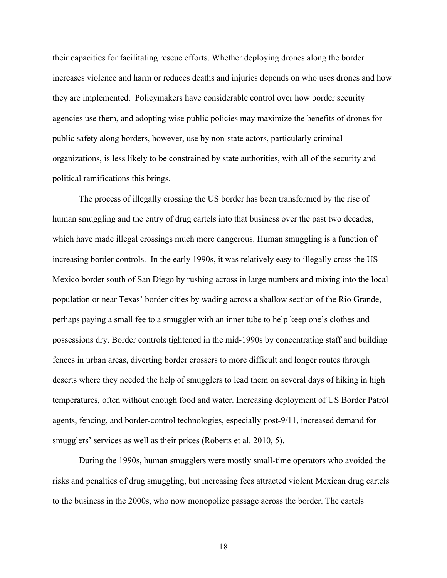their capacities for facilitating rescue efforts. Whether deploying drones along the border increases violence and harm or reduces deaths and injuries depends on who uses drones and how they are implemented. Policymakers have considerable control over how border security agencies use them, and adopting wise public policies may maximize the benefits of drones for public safety along borders, however, use by non-state actors, particularly criminal organizations, is less likely to be constrained by state authorities, with all of the security and political ramifications this brings.

The process of illegally crossing the US border has been transformed by the rise of human smuggling and the entry of drug cartels into that business over the past two decades, which have made illegal crossings much more dangerous. Human smuggling is a function of increasing border controls. In the early 1990s, it was relatively easy to illegally cross the US-Mexico border south of San Diego by rushing across in large numbers and mixing into the local population or near Texas' border cities by wading across a shallow section of the Rio Grande, perhaps paying a small fee to a smuggler with an inner tube to help keep one's clothes and possessions dry. Border controls tightened in the mid-1990s by concentrating staff and building fences in urban areas, diverting border crossers to more difficult and longer routes through deserts where they needed the help of smugglers to lead them on several days of hiking in high temperatures, often without enough food and water. Increasing deployment of US Border Patrol agents, fencing, and border-control technologies, especially post-9/11, increased demand for smugglers' services as well as their prices (Roberts et al. 2010, 5).

During the 1990s, human smugglers were mostly small-time operators who avoided the risks and penalties of drug smuggling, but increasing fees attracted violent Mexican drug cartels to the business in the 2000s, who now monopolize passage across the border. The cartels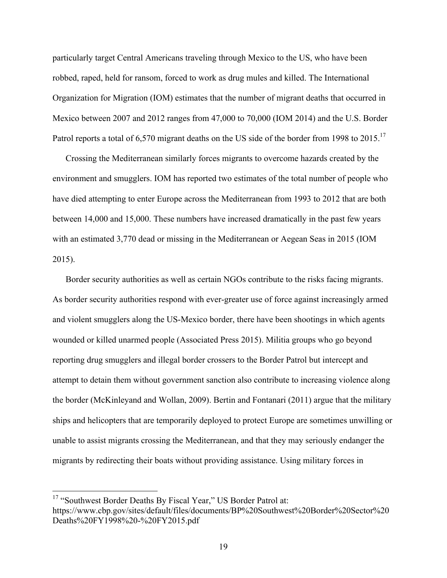particularly target Central Americans traveling through Mexico to the US, who have been robbed, raped, held for ransom, forced to work as drug mules and killed. The International Organization for Migration (IOM) estimates that the number of migrant deaths that occurred in Mexico between 2007 and 2012 ranges from 47,000 to 70,000 (IOM 2014) and the U.S. Border Patrol reports a total of 6,570 migrant deaths on the US side of the border from 1998 to 2015.<sup>17</sup>

Crossing the Mediterranean similarly forces migrants to overcome hazards created by the environment and smugglers. IOM has reported two estimates of the total number of people who have died attempting to enter Europe across the Mediterranean from 1993 to 2012 that are both between 14,000 and 15,000. These numbers have increased dramatically in the past few years with an estimated 3,770 dead or missing in the Mediterranean or Aegean Seas in 2015 (IOM 2015).

Border security authorities as well as certain NGOs contribute to the risks facing migrants. As border security authorities respond with ever-greater use of force against increasingly armed and violent smugglers along the US-Mexico border, there have been shootings in which agents wounded or killed unarmed people (Associated Press 2015). Militia groups who go beyond reporting drug smugglers and illegal border crossers to the Border Patrol but intercept and attempt to detain them without government sanction also contribute to increasing violence along the border (McKinleyand and Wollan, 2009). Bertin and Fontanari (2011) argue that the military ships and helicopters that are temporarily deployed to protect Europe are sometimes unwilling or unable to assist migrants crossing the Mediterranean, and that they may seriously endanger the migrants by redirecting their boats without providing assistance. Using military forces in

<sup>&</sup>lt;sup>17</sup> "Southwest Border Deaths By Fiscal Year," US Border Patrol at: https://www.cbp.gov/sites/default/files/documents/BP%20Southwest%20Border%20Sector%20 Deaths%20FY1998%20-%20FY2015.pdf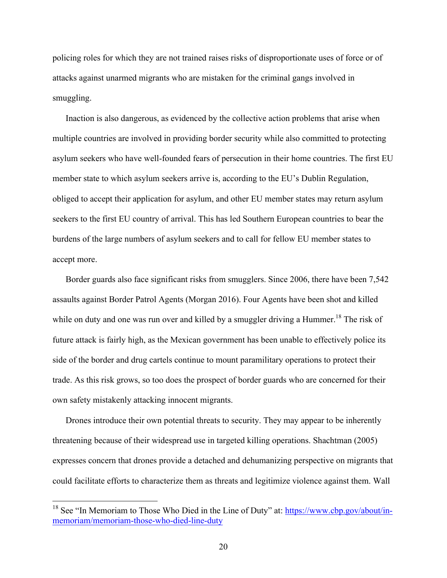policing roles for which they are not trained raises risks of disproportionate uses of force or of attacks against unarmed migrants who are mistaken for the criminal gangs involved in smuggling.

Inaction is also dangerous, as evidenced by the collective action problems that arise when multiple countries are involved in providing border security while also committed to protecting asylum seekers who have well-founded fears of persecution in their home countries. The first EU member state to which asylum seekers arrive is, according to the EU's Dublin Regulation, obliged to accept their application for asylum, and other EU member states may return asylum seekers to the first EU country of arrival. This has led Southern European countries to bear the burdens of the large numbers of asylum seekers and to call for fellow EU member states to accept more.

Border guards also face significant risks from smugglers. Since 2006, there have been 7,542 assaults against Border Patrol Agents (Morgan 2016). Four Agents have been shot and killed while on duty and one was run over and killed by a smuggler driving a Hummer.<sup>18</sup> The risk of future attack is fairly high, as the Mexican government has been unable to effectively police its side of the border and drug cartels continue to mount paramilitary operations to protect their trade. As this risk grows, so too does the prospect of border guards who are concerned for their own safety mistakenly attacking innocent migrants.

Drones introduce their own potential threats to security. They may appear to be inherently threatening because of their widespread use in targeted killing operations. Shachtman (2005) expresses concern that drones provide a detached and dehumanizing perspective on migrants that could facilitate efforts to characterize them as threats and legitimize violence against them. Wall

<sup>&</sup>lt;sup>18</sup> See "In Memoriam to Those Who Died in the Line of Duty" at:  $\frac{https://www.cbp.gov/about/in-198}{https://www.cbp.gov/about/in-1988}$ memoriam/memoriam-those-who-died-line-duty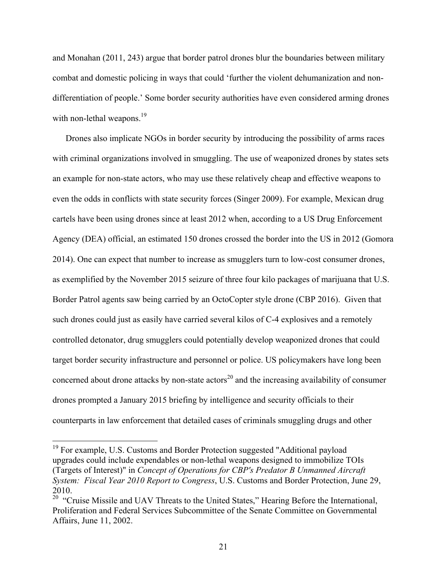and Monahan (2011, 243) argue that border patrol drones blur the boundaries between military combat and domestic policing in ways that could 'further the violent dehumanization and nondifferentiation of people.' Some border security authorities have even considered arming drones with non-lethal weapons.<sup>19</sup>

Drones also implicate NGOs in border security by introducing the possibility of arms races with criminal organizations involved in smuggling. The use of weaponized drones by states sets an example for non-state actors, who may use these relatively cheap and effective weapons to even the odds in conflicts with state security forces (Singer 2009). For example, Mexican drug cartels have been using drones since at least 2012 when, according to a US Drug Enforcement Agency (DEA) official, an estimated 150 drones crossed the border into the US in 2012 (Gomora 2014). One can expect that number to increase as smugglers turn to low-cost consumer drones, as exemplified by the November 2015 seizure of three four kilo packages of marijuana that U.S. Border Patrol agents saw being carried by an OctoCopter style drone (CBP 2016). Given that such drones could just as easily have carried several kilos of C-4 explosives and a remotely controlled detonator, drug smugglers could potentially develop weaponized drones that could target border security infrastructure and personnel or police. US policymakers have long been concerned about drone attacks by non-state actors<sup>20</sup> and the increasing availability of consumer drones prompted a January 2015 briefing by intelligence and security officials to their counterparts in law enforcement that detailed cases of criminals smuggling drugs and other

<sup>&</sup>lt;sup>19</sup> For example, U.S. Customs and Border Protection suggested "Additional payload upgrades could include expendables or non-lethal weapons designed to immobilize TOIs (Targets of Interest)" in *Concept of Operations for CBP's Predator B Unmanned Aircraft System: Fiscal Year 2010 Report to Congress*, U.S. Customs and Border Protection, June 29,

<sup>2010.&</sup>lt;br><sup>20</sup> "Cruise Missile and UAV Threats to the United States," Hearing Before the International, Proliferation and Federal Services Subcommittee of the Senate Committee on Governmental Affairs, June 11, 2002.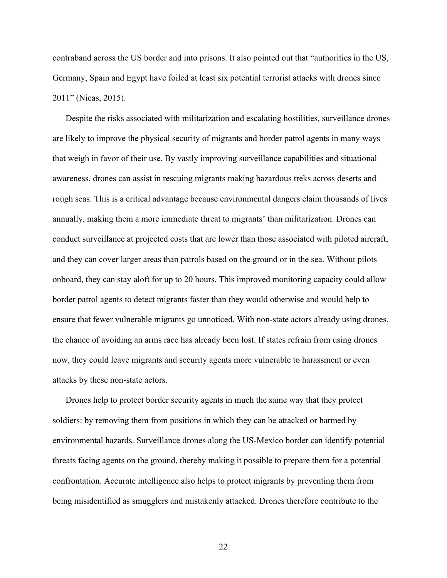contraband across the US border and into prisons. It also pointed out that "authorities in the US, Germany, Spain and Egypt have foiled at least six potential terrorist attacks with drones since 2011" (Nicas, 2015).

Despite the risks associated with militarization and escalating hostilities, surveillance drones are likely to improve the physical security of migrants and border patrol agents in many ways that weigh in favor of their use. By vastly improving surveillance capabilities and situational awareness, drones can assist in rescuing migrants making hazardous treks across deserts and rough seas. This is a critical advantage because environmental dangers claim thousands of lives annually, making them a more immediate threat to migrants' than militarization. Drones can conduct surveillance at projected costs that are lower than those associated with piloted aircraft, and they can cover larger areas than patrols based on the ground or in the sea. Without pilots onboard, they can stay aloft for up to 20 hours. This improved monitoring capacity could allow border patrol agents to detect migrants faster than they would otherwise and would help to ensure that fewer vulnerable migrants go unnoticed. With non-state actors already using drones, the chance of avoiding an arms race has already been lost. If states refrain from using drones now, they could leave migrants and security agents more vulnerable to harassment or even attacks by these non-state actors.

Drones help to protect border security agents in much the same way that they protect soldiers: by removing them from positions in which they can be attacked or harmed by environmental hazards. Surveillance drones along the US-Mexico border can identify potential threats facing agents on the ground, thereby making it possible to prepare them for a potential confrontation. Accurate intelligence also helps to protect migrants by preventing them from being misidentified as smugglers and mistakenly attacked. Drones therefore contribute to the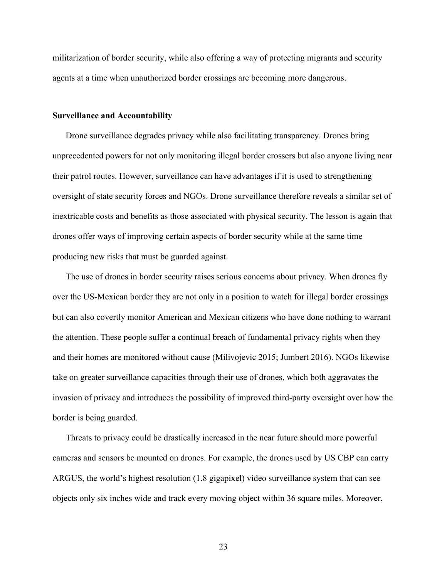militarization of border security, while also offering a way of protecting migrants and security agents at a time when unauthorized border crossings are becoming more dangerous.

#### **Surveillance and Accountability**

Drone surveillance degrades privacy while also facilitating transparency. Drones bring unprecedented powers for not only monitoring illegal border crossers but also anyone living near their patrol routes. However, surveillance can have advantages if it is used to strengthening oversight of state security forces and NGOs. Drone surveillance therefore reveals a similar set of inextricable costs and benefits as those associated with physical security. The lesson is again that drones offer ways of improving certain aspects of border security while at the same time producing new risks that must be guarded against.

The use of drones in border security raises serious concerns about privacy. When drones fly over the US-Mexican border they are not only in a position to watch for illegal border crossings but can also covertly monitor American and Mexican citizens who have done nothing to warrant the attention. These people suffer a continual breach of fundamental privacy rights when they and their homes are monitored without cause (Milivojevic 2015; Jumbert 2016). NGOs likewise take on greater surveillance capacities through their use of drones, which both aggravates the invasion of privacy and introduces the possibility of improved third-party oversight over how the border is being guarded.

Threats to privacy could be drastically increased in the near future should more powerful cameras and sensors be mounted on drones. For example, the drones used by US CBP can carry ARGUS, the world's highest resolution (1.8 gigapixel) video surveillance system that can see objects only six inches wide and track every moving object within 36 square miles. Moreover,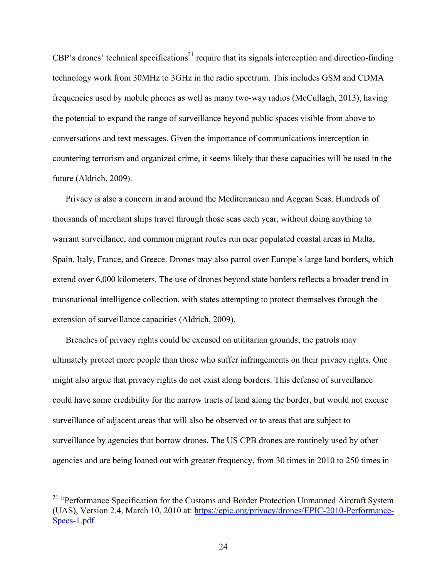$CBP's$  drones' technical specifications<sup>21</sup> require that its signals interception and direction-finding technology work from 30MHz to 3GHz in the radio spectrum. This includes GSM and CDMA frequencies used by mobile phones as well as many two-way radios (McCullagh, 2013), having the potential to expand the range of surveillance beyond public spaces visible from above to conversations and text messages. Given the importance of communications interception in countering terrorism and organized crime, it seems likely that these capacities will be used in the future (Aldrich, 2009).

Privacy is also a concern in and around the Mediterranean and Aegean Seas. Hundreds of thousands of merchant ships travel through those seas each year, without doing anything to warrant surveillance, and common migrant routes run near populated coastal areas in Malta, Spain, Italy, France, and Greece. Drones may also patrol over Europe's large land borders, which extend over 6,000 kilometers. The use of drones beyond state borders reflects a broader trend in transnational intelligence collection, with states attempting to protect themselves through the extension of surveillance capacities (Aldrich, 2009).

Breaches of privacy rights could be excused on utilitarian grounds; the patrols may ultimately protect more people than those who suffer infringements on their privacy rights. One might also argue that privacy rights do not exist along borders. This defense of surveillance could have some credibility for the narrow tracts of land along the border, but would not excuse surveillance of adjacent areas that will also be observed or to areas that are subject to surveillance by agencies that borrow drones. The US CPB drones are routinely used by other agencies and are being loaned out with greater frequency, from 30 times in 2010 to 250 times in

<sup>&</sup>lt;sup>21</sup> "Performance Specification for the Customs and Border Protection Unmanned Aircraft System (UAS), Version 2.4, March 10, 2010 at: https://epic.org/privacy/drones/EPIC-2010-Performance-Specs-1.pdf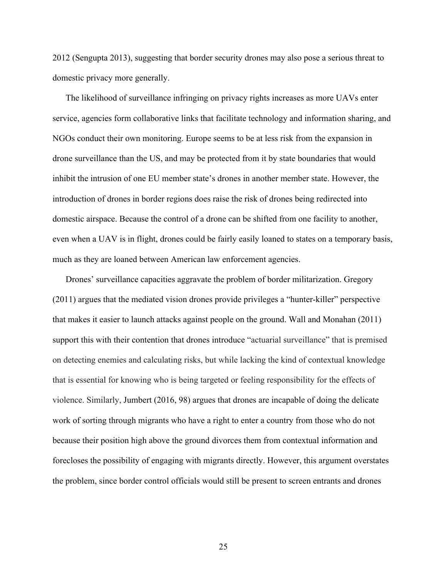2012 (Sengupta 2013), suggesting that border security drones may also pose a serious threat to domestic privacy more generally.

The likelihood of surveillance infringing on privacy rights increases as more UAVs enter service, agencies form collaborative links that facilitate technology and information sharing, and NGOs conduct their own monitoring. Europe seems to be at less risk from the expansion in drone surveillance than the US, and may be protected from it by state boundaries that would inhibit the intrusion of one EU member state's drones in another member state. However, the introduction of drones in border regions does raise the risk of drones being redirected into domestic airspace. Because the control of a drone can be shifted from one facility to another, even when a UAV is in flight, drones could be fairly easily loaned to states on a temporary basis, much as they are loaned between American law enforcement agencies.

Drones' surveillance capacities aggravate the problem of border militarization. Gregory (2011) argues that the mediated vision drones provide privileges a "hunter-killer" perspective that makes it easier to launch attacks against people on the ground. Wall and Monahan (2011) support this with their contention that drones introduce "actuarial surveillance" that is premised on detecting enemies and calculating risks, but while lacking the kind of contextual knowledge that is essential for knowing who is being targeted or feeling responsibility for the effects of violence. Similarly, Jumbert (2016, 98) argues that drones are incapable of doing the delicate work of sorting through migrants who have a right to enter a country from those who do not because their position high above the ground divorces them from contextual information and forecloses the possibility of engaging with migrants directly. However, this argument overstates the problem, since border control officials would still be present to screen entrants and drones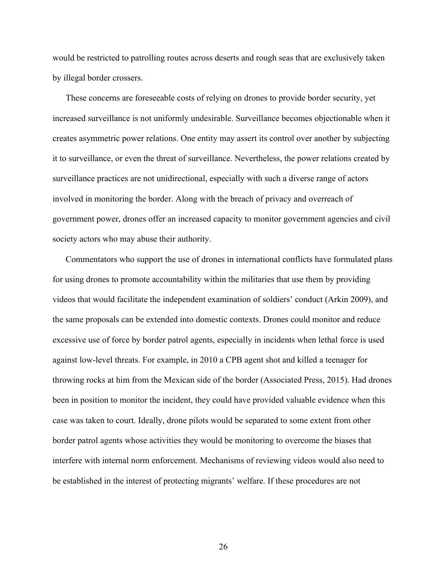would be restricted to patrolling routes across deserts and rough seas that are exclusively taken by illegal border crossers.

These concerns are foreseeable costs of relying on drones to provide border security, yet increased surveillance is not uniformly undesirable. Surveillance becomes objectionable when it creates asymmetric power relations. One entity may assert its control over another by subjecting it to surveillance, or even the threat of surveillance. Nevertheless, the power relations created by surveillance practices are not unidirectional, especially with such a diverse range of actors involved in monitoring the border. Along with the breach of privacy and overreach of government power, drones offer an increased capacity to monitor government agencies and civil society actors who may abuse their authority.

Commentators who support the use of drones in international conflicts have formulated plans for using drones to promote accountability within the militaries that use them by providing videos that would facilitate the independent examination of soldiers' conduct (Arkin 2009), and the same proposals can be extended into domestic contexts. Drones could monitor and reduce excessive use of force by border patrol agents, especially in incidents when lethal force is used against low-level threats. For example, in 2010 a CPB agent shot and killed a teenager for throwing rocks at him from the Mexican side of the border (Associated Press, 2015). Had drones been in position to monitor the incident, they could have provided valuable evidence when this case was taken to court. Ideally, drone pilots would be separated to some extent from other border patrol agents whose activities they would be monitoring to overcome the biases that interfere with internal norm enforcement. Mechanisms of reviewing videos would also need to be established in the interest of protecting migrants' welfare. If these procedures are not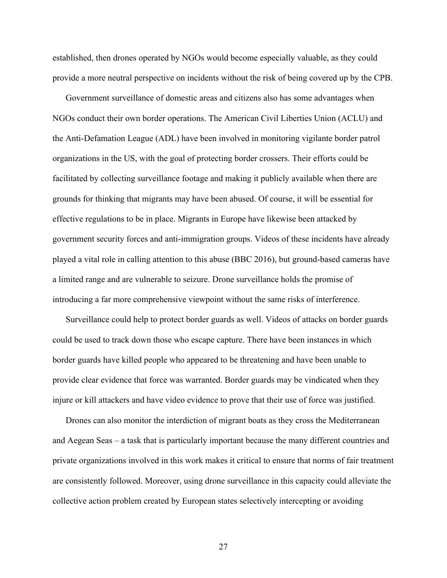established, then drones operated by NGOs would become especially valuable, as they could provide a more neutral perspective on incidents without the risk of being covered up by the CPB.

Government surveillance of domestic areas and citizens also has some advantages when NGOs conduct their own border operations. The American Civil Liberties Union (ACLU) and the Anti-Defamation League (ADL) have been involved in monitoring vigilante border patrol organizations in the US, with the goal of protecting border crossers. Their efforts could be facilitated by collecting surveillance footage and making it publicly available when there are grounds for thinking that migrants may have been abused. Of course, it will be essential for effective regulations to be in place. Migrants in Europe have likewise been attacked by government security forces and anti-immigration groups. Videos of these incidents have already played a vital role in calling attention to this abuse (BBC 2016), but ground-based cameras have a limited range and are vulnerable to seizure. Drone surveillance holds the promise of introducing a far more comprehensive viewpoint without the same risks of interference.

Surveillance could help to protect border guards as well. Videos of attacks on border guards could be used to track down those who escape capture. There have been instances in which border guards have killed people who appeared to be threatening and have been unable to provide clear evidence that force was warranted. Border guards may be vindicated when they injure or kill attackers and have video evidence to prove that their use of force was justified.

Drones can also monitor the interdiction of migrant boats as they cross the Mediterranean and Aegean Seas – a task that is particularly important because the many different countries and private organizations involved in this work makes it critical to ensure that norms of fair treatment are consistently followed. Moreover, using drone surveillance in this capacity could alleviate the collective action problem created by European states selectively intercepting or avoiding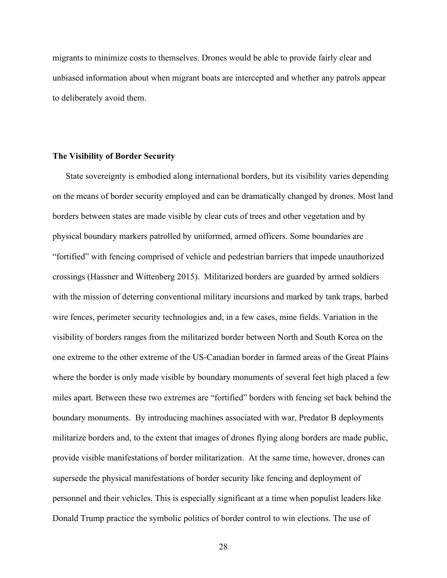migrants to minimize costs to themselves. Drones would be able to provide fairly clear and unbiased information about when migrant boats are intercepted and whether any patrols appear to deliberately avoid them.

## **The Visibility of Border Security**

State sovereignty is embodied along international borders, but its visibility varies depending on the means of border security employed and can be dramatically changed by drones. Most land borders between states are made visible by clear cuts of trees and other vegetation and by physical boundary markers patrolled by uniformed, armed officers. Some boundaries are "fortified" with fencing comprised of vehicle and pedestrian barriers that impede unauthorized crossings (Hassner and Wittenberg 2015). Militarized borders are guarded by armed soldiers with the mission of deterring conventional military incursions and marked by tank traps, barbed wire fences, perimeter security technologies and, in a few cases, mine fields. Variation in the visibility of borders ranges from the militarized border between North and South Korea on the one extreme to the other extreme of the US-Canadian border in farmed areas of the Great Plains where the border is only made visible by boundary monuments of several feet high placed a few miles apart. Between these two extremes are "fortified" borders with fencing set back behind the boundary monuments. By introducing machines associated with war, Predator B deployments militarize borders and, to the extent that images of drones flying along borders are made public, provide visible manifestations of border militarization. At the same time, however, drones can supersede the physical manifestations of border security like fencing and deployment of personnel and their vehicles. This is especially significant at a time when populist leaders like Donald Trump practice the symbolic politics of border control to win elections. The use of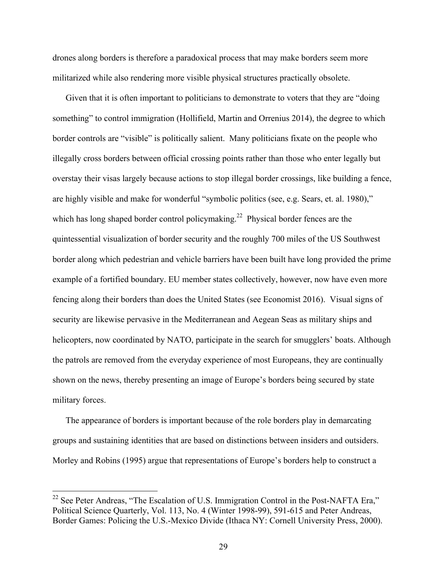drones along borders is therefore a paradoxical process that may make borders seem more militarized while also rendering more visible physical structures practically obsolete.

Given that it is often important to politicians to demonstrate to voters that they are "doing something" to control immigration (Hollifield, Martin and Orrenius 2014), the degree to which border controls are "visible" is politically salient. Many politicians fixate on the people who illegally cross borders between official crossing points rather than those who enter legally but overstay their visas largely because actions to stop illegal border crossings, like building a fence, are highly visible and make for wonderful "symbolic politics (see, e.g. Sears, et. al. 1980)," which has long shaped border control policymaking.<sup>22</sup> Physical border fences are the quintessential visualization of border security and the roughly 700 miles of the US Southwest border along which pedestrian and vehicle barriers have been built have long provided the prime example of a fortified boundary. EU member states collectively, however, now have even more fencing along their borders than does the United States (see Economist 2016). Visual signs of security are likewise pervasive in the Mediterranean and Aegean Seas as military ships and helicopters, now coordinated by NATO, participate in the search for smugglers' boats. Although the patrols are removed from the everyday experience of most Europeans, they are continually shown on the news, thereby presenting an image of Europe's borders being secured by state military forces.

The appearance of borders is important because of the role borders play in demarcating groups and sustaining identities that are based on distinctions between insiders and outsiders. Morley and Robins (1995) argue that representations of Europe's borders help to construct a

<sup>&</sup>lt;sup>22</sup> See Peter Andreas, "The Escalation of U.S. Immigration Control in the Post-NAFTA Era," Political Science Quarterly, Vol. 113, No. 4 (Winter 1998-99), 591-615 and Peter Andreas, Border Games: Policing the U.S.-Mexico Divide (Ithaca NY: Cornell University Press, 2000).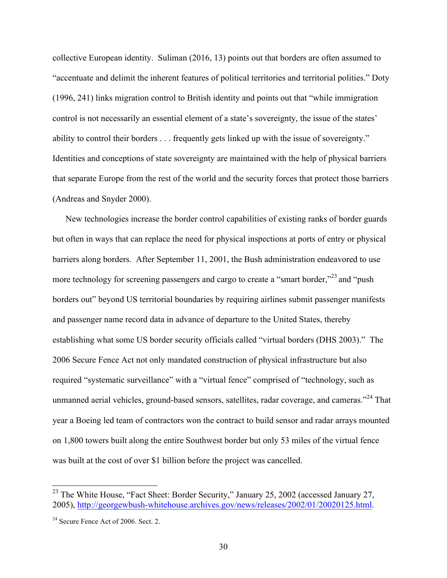collective European identity. Suliman (2016, 13) points out that borders are often assumed to "accentuate and delimit the inherent features of political territories and territorial polities." Doty (1996, 241) links migration control to British identity and points out that "while immigration control is not necessarily an essential element of a state's sovereignty, the issue of the states' ability to control their borders . . . frequently gets linked up with the issue of sovereignty." Identities and conceptions of state sovereignty are maintained with the help of physical barriers that separate Europe from the rest of the world and the security forces that protect those barriers (Andreas and Snyder 2000).

New technologies increase the border control capabilities of existing ranks of border guards but often in ways that can replace the need for physical inspections at ports of entry or physical barriers along borders. After September 11, 2001, the Bush administration endeavored to use more technology for screening passengers and cargo to create a "smart border,"<sup>23</sup> and "push" borders out" beyond US territorial boundaries by requiring airlines submit passenger manifests and passenger name record data in advance of departure to the United States, thereby establishing what some US border security officials called "virtual borders (DHS 2003)." The 2006 Secure Fence Act not only mandated construction of physical infrastructure but also required "systematic surveillance" with a "virtual fence" comprised of "technology, such as unmanned aerial vehicles, ground-based sensors, satellites, radar coverage, and cameras."<sup>24</sup> That year a Boeing led team of contractors won the contract to build sensor and radar arrays mounted on 1,800 towers built along the entire Southwest border but only 53 miles of the virtual fence was built at the cost of over \$1 billion before the project was cancelled.

<sup>&</sup>lt;sup>23</sup> The White House, "Fact Sheet: Border Security," January 25, 2002 (accessed January 27, 2005), http://georgewbush-whitehouse.archives.gov/news/releases/2002/01/20020125.html.

<sup>&</sup>lt;sup>24</sup> Secure Fence Act of 2006. Sect. 2.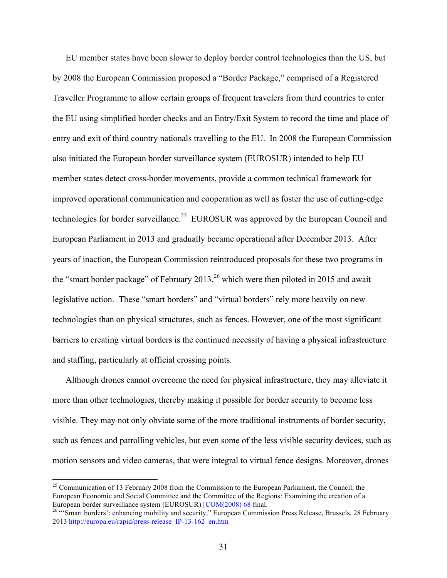EU member states have been slower to deploy border control technologies than the US, but by 2008 the European Commission proposed a "Border Package," comprised of a Registered Traveller Programme to allow certain groups of frequent travelers from third countries to enter the EU using simplified border checks and an Entry/Exit System to record the time and place of entry and exit of third country nationals travelling to the EU. In 2008 the European Commission also initiated the European border surveillance system (EUROSUR) intended to help EU member states detect cross-border movements, provide a common technical framework for improved operational communication and cooperation as well as foster the use of cutting-edge technologies for border surveillance.<sup>25</sup> EUROSUR was approved by the European Council and European Parliament in 2013 and gradually became operational after December 2013. After years of inaction, the European Commission reintroduced proposals for these two programs in the "smart border package" of February 2013,  $^{26}$  which were then piloted in 2015 and await legislative action. These "smart borders" and "virtual borders" rely more heavily on new technologies than on physical structures, such as fences. However, one of the most significant barriers to creating virtual borders is the continued necessity of having a physical infrastructure and staffing, particularly at official crossing points.

Although drones cannot overcome the need for physical infrastructure, they may alleviate it more than other technologies, thereby making it possible for border security to become less visible. They may not only obviate some of the more traditional instruments of border security, such as fences and patrolling vehicles, but even some of the less visible security devices, such as motion sensors and video cameras, that were integral to virtual fence designs. Moreover, drones

<sup>&</sup>lt;sup>25</sup> Communication of 13 February 2008 from the Commission to the European Parliament, the Council, the European Economic and Social Committee and the Committee of the Regions: Examining the creation of a European border surveillance system (EUROSUR) [COM(2008) 68 final.<br><sup>26</sup> "Smart borders': enhancing mobility and security," European Commission Press Release, Brussels, 28 February

<sup>2013</sup> http://europa.eu/rapid/press-release\_IP-13-162\_en.htm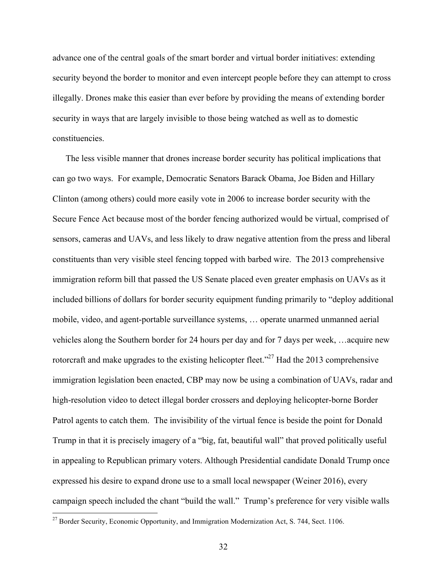advance one of the central goals of the smart border and virtual border initiatives: extending security beyond the border to monitor and even intercept people before they can attempt to cross illegally. Drones make this easier than ever before by providing the means of extending border security in ways that are largely invisible to those being watched as well as to domestic constituencies.

The less visible manner that drones increase border security has political implications that can go two ways. For example, Democratic Senators Barack Obama, Joe Biden and Hillary Clinton (among others) could more easily vote in 2006 to increase border security with the Secure Fence Act because most of the border fencing authorized would be virtual, comprised of sensors, cameras and UAVs, and less likely to draw negative attention from the press and liberal constituents than very visible steel fencing topped with barbed wire. The 2013 comprehensive immigration reform bill that passed the US Senate placed even greater emphasis on UAVs as it included billions of dollars for border security equipment funding primarily to "deploy additional mobile, video, and agent-portable surveillance systems, … operate unarmed unmanned aerial vehicles along the Southern border for 24 hours per day and for 7 days per week, …acquire new rotorcraft and make upgrades to the existing helicopter fleet."<sup>27</sup> Had the 2013 comprehensive immigration legislation been enacted, CBP may now be using a combination of UAVs, radar and high-resolution video to detect illegal border crossers and deploying helicopter-borne Border Patrol agents to catch them. The invisibility of the virtual fence is beside the point for Donald Trump in that it is precisely imagery of a "big, fat, beautiful wall" that proved politically useful in appealing to Republican primary voters. Although Presidential candidate Donald Trump once expressed his desire to expand drone use to a small local newspaper (Weiner 2016), every campaign speech included the chant "build the wall." Trump's preference for very visible walls

<sup>&</sup>lt;sup>27</sup> Border Security, Economic Opportunity, and Immigration Modernization Act, S. 744, Sect. 1106.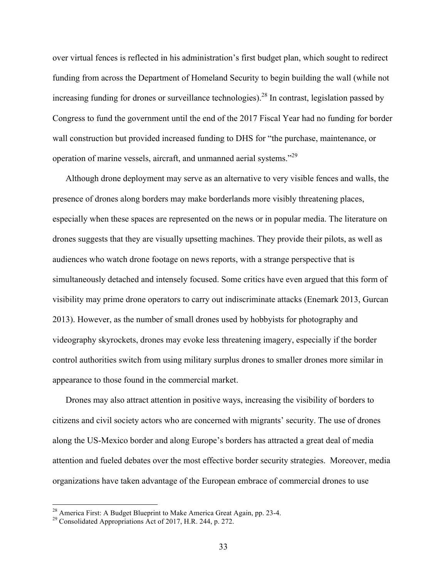over virtual fences is reflected in his administration's first budget plan, which sought to redirect funding from across the Department of Homeland Security to begin building the wall (while not increasing funding for drones or surveillance technologies).<sup>28</sup> In contrast, legislation passed by Congress to fund the government until the end of the 2017 Fiscal Year had no funding for border wall construction but provided increased funding to DHS for "the purchase, maintenance, or operation of marine vessels, aircraft, and unmanned aerial systems."<sup>29</sup>

Although drone deployment may serve as an alternative to very visible fences and walls, the presence of drones along borders may make borderlands more visibly threatening places, especially when these spaces are represented on the news or in popular media. The literature on drones suggests that they are visually upsetting machines. They provide their pilots, as well as audiences who watch drone footage on news reports, with a strange perspective that is simultaneously detached and intensely focused. Some critics have even argued that this form of visibility may prime drone operators to carry out indiscriminate attacks (Enemark 2013, Gurcan 2013). However, as the number of small drones used by hobbyists for photography and videography skyrockets, drones may evoke less threatening imagery, especially if the border control authorities switch from using military surplus drones to smaller drones more similar in appearance to those found in the commercial market.

Drones may also attract attention in positive ways, increasing the visibility of borders to citizens and civil society actors who are concerned with migrants' security. The use of drones along the US-Mexico border and along Europe's borders has attracted a great deal of media attention and fueled debates over the most effective border security strategies. Moreover, media organizations have taken advantage of the European embrace of commercial drones to use

<sup>&</sup>lt;sup>28</sup> America First: A Budget Blueprint to Make America Great Again, pp. 23-4.<br><sup>29</sup> Consolidated Appropriations Act of 2017, H.R. 244, p. 272.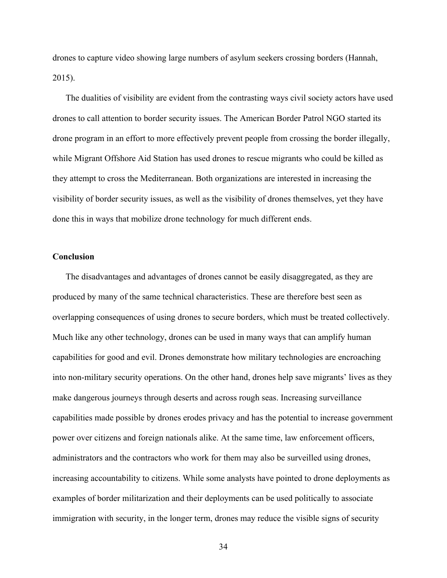drones to capture video showing large numbers of asylum seekers crossing borders (Hannah, 2015).

The dualities of visibility are evident from the contrasting ways civil society actors have used drones to call attention to border security issues. The American Border Patrol NGO started its drone program in an effort to more effectively prevent people from crossing the border illegally, while Migrant Offshore Aid Station has used drones to rescue migrants who could be killed as they attempt to cross the Mediterranean. Both organizations are interested in increasing the visibility of border security issues, as well as the visibility of drones themselves, yet they have done this in ways that mobilize drone technology for much different ends.

## **Conclusion**

The disadvantages and advantages of drones cannot be easily disaggregated, as they are produced by many of the same technical characteristics. These are therefore best seen as overlapping consequences of using drones to secure borders, which must be treated collectively. Much like any other technology, drones can be used in many ways that can amplify human capabilities for good and evil. Drones demonstrate how military technologies are encroaching into non-military security operations. On the other hand, drones help save migrants' lives as they make dangerous journeys through deserts and across rough seas. Increasing surveillance capabilities made possible by drones erodes privacy and has the potential to increase government power over citizens and foreign nationals alike. At the same time, law enforcement officers, administrators and the contractors who work for them may also be surveilled using drones, increasing accountability to citizens. While some analysts have pointed to drone deployments as examples of border militarization and their deployments can be used politically to associate immigration with security, in the longer term, drones may reduce the visible signs of security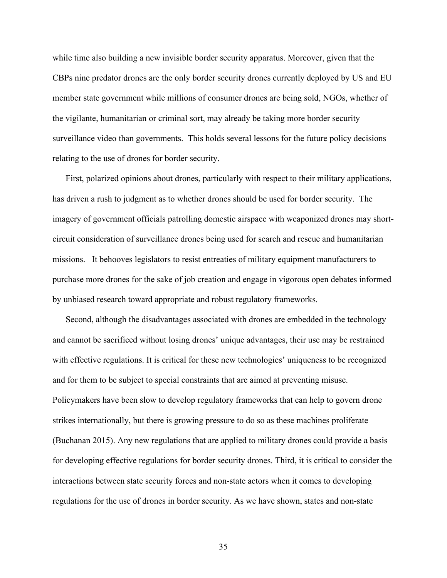while time also building a new invisible border security apparatus. Moreover, given that the CBPs nine predator drones are the only border security drones currently deployed by US and EU member state government while millions of consumer drones are being sold, NGOs, whether of the vigilante, humanitarian or criminal sort, may already be taking more border security surveillance video than governments. This holds several lessons for the future policy decisions relating to the use of drones for border security.

First, polarized opinions about drones, particularly with respect to their military applications, has driven a rush to judgment as to whether drones should be used for border security. The imagery of government officials patrolling domestic airspace with weaponized drones may shortcircuit consideration of surveillance drones being used for search and rescue and humanitarian missions. It behooves legislators to resist entreaties of military equipment manufacturers to purchase more drones for the sake of job creation and engage in vigorous open debates informed by unbiased research toward appropriate and robust regulatory frameworks.

Second, although the disadvantages associated with drones are embedded in the technology and cannot be sacrificed without losing drones' unique advantages, their use may be restrained with effective regulations. It is critical for these new technologies' uniqueness to be recognized and for them to be subject to special constraints that are aimed at preventing misuse. Policymakers have been slow to develop regulatory frameworks that can help to govern drone strikes internationally, but there is growing pressure to do so as these machines proliferate (Buchanan 2015). Any new regulations that are applied to military drones could provide a basis for developing effective regulations for border security drones. Third, it is critical to consider the interactions between state security forces and non-state actors when it comes to developing regulations for the use of drones in border security. As we have shown, states and non-state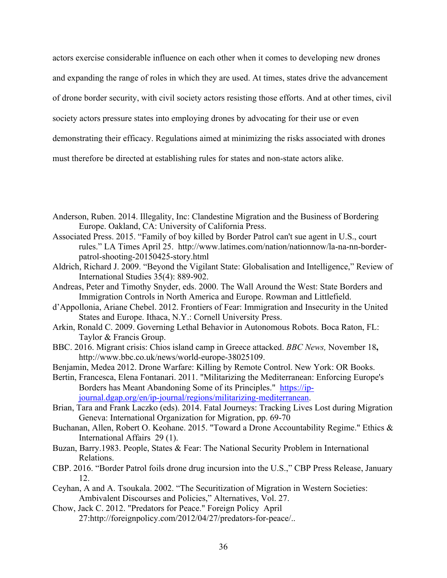actors exercise considerable influence on each other when it comes to developing new drones

and expanding the range of roles in which they are used. At times, states drive the advancement

of drone border security, with civil society actors resisting those efforts. And at other times, civil

society actors pressure states into employing drones by advocating for their use or even

demonstrating their efficacy. Regulations aimed at minimizing the risks associated with drones

must therefore be directed at establishing rules for states and non-state actors alike.

- Anderson, Ruben. 2014. Illegality, Inc: Clandestine Migration and the Business of Bordering Europe. Oakland, CA: University of California Press.
- Associated Press. 2015. "Family of boy killed by Border Patrol can't sue agent in U.S., court rules." LA Times April 25. http://www.latimes.com/nation/nationnow/la-na-nn-borderpatrol-shooting-20150425-story.html
- Aldrich, Richard J. 2009. "Beyond the Vigilant State: Globalisation and Intelligence," Review of International Studies 35(4): 889-902.
- Andreas, Peter and Timothy Snyder, eds. 2000. The Wall Around the West: State Borders and Immigration Controls in North America and Europe. Rowman and Littlefield.
- d'Appollonia, Ariane Chebel. 2012. Frontiers of Fear: Immigration and Insecurity in the United States and Europe. Ithaca, N.Y.: Cornell University Press.
- Arkin, Ronald C. 2009. Governing Lethal Behavior in Autonomous Robots. Boca Raton, FL: Taylor & Francis Group.
- BBC. 2016. Migrant crisis: Chios island camp in Greece attacked. *BBC News,* November 18**,** http://www.bbc.co.uk/news/world-europe-38025109.
- Benjamin, Medea 2012. Drone Warfare: Killing by Remote Control. New York: OR Books.
- Bertin, Francesca, Elena Fontanari. 2011. "Militarizing the Mediterranean: Enforcing Europe's Borders has Meant Abandoning Some of its Principles." https://ipjournal.dgap.org/en/ip-journal/regions/militarizing-mediterranean.
- Brian, Tara and Frank Laczko (eds). 2014. Fatal Journeys: Tracking Lives Lost during Migration Geneva: International Organization for Migration, pp. 69-70
- Buchanan, Allen, Robert O. Keohane. 2015. "Toward a Drone Accountability Regime." Ethics & International Affairs 29 (1).
- Buzan, Barry.1983. People, States & Fear: The National Security Problem in International Relations.
- CBP. 2016. "Border Patrol foils drone drug incursion into the U.S.," CBP Press Release, January 12.
- Ceyhan, A and A. Tsoukala. 2002. "The Securitization of Migration in Western Societies: Ambivalent Discourses and Policies," Alternatives, Vol. 27.
- Chow, Jack C. 2012. "Predators for Peace." Foreign Policy April 27:http://foreignpolicy.com/2012/04/27/predators-for-peace/..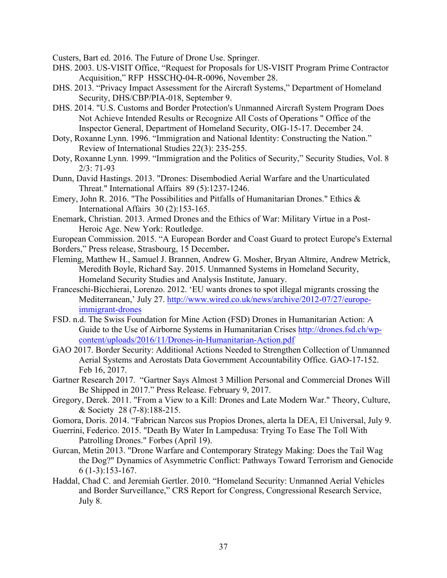Custers, Bart ed. 2016. The Future of Drone Use. Springer.

- DHS. 2003. US-VISIT Office, "Request for Proposals for US-VISIT Program Prime Contractor Acquisition," RFP HSSCHQ-04-R-0096, November 28.
- DHS. 2013. "Privacy Impact Assessment for the Aircraft Systems," Department of Homeland Security, DHS/CBP/PIA-018, September 9.
- DHS. 2014. "U.S. Customs and Border Protection's Unmanned Aircraft System Program Does Not Achieve Intended Results or Recognize All Costs of Operations " Office of the Inspector General, Department of Homeland Security, OIG-15-17. December 24.
- Doty, Roxanne Lynn. 1996. "Immigration and National Identity: Constructing the Nation." Review of International Studies 22(3): 235-255.
- Doty, Roxanne Lynn. 1999. "Immigration and the Politics of Security," Security Studies, Vol. 8 2/3: 71-93
- Dunn, David Hastings. 2013. "Drones: Disembodied Aerial Warfare and the Unarticulated Threat." International Affairs 89 (5):1237-1246.
- Emery, John R. 2016. "The Possibilities and Pitfalls of Humanitarian Drones." Ethics & International Affairs 30 (2):153-165.
- Enemark, Christian. 2013. Armed Drones and the Ethics of War: Military Virtue in a Post-Heroic Age. New York: Routledge.

European Commission. 2015. "A European Border and Coast Guard to protect Europe's External Borders," Press release, Strasbourg, 15 December**.**

- 
- Fleming, Matthew H., Samuel J. Brannen, Andrew G. Mosher, Bryan Altmire, Andrew Metrick, Meredith Boyle, Richard Say. 2015. Unmanned Systems in Homeland Security, Homeland Security Studies and Analysis Institute, January.
- Franceschi-Bicchierai, Lorenzo. 2012. 'EU wants drones to spot illegal migrants crossing the Mediterranean,' July 27. http://www.wired.co.uk/news/archive/2012-07/27/europeimmigrant-drones
- FSD. n.d. The Swiss Foundation for Mine Action (FSD) Drones in Humanitarian Action: A Guide to the Use of Airborne Systems in Humanitarian Crises http://drones.fsd.ch/wpcontent/uploads/2016/11/Drones-in-Humanitarian-Action.pdf
- GAO 2017. Border Security: Additional Actions Needed to Strengthen Collection of Unmanned Aerial Systems and Aerostats Data Government Accountability Office. GAO-17-152. Feb 16, 2017.
- Gartner Research 2017. "Gartner Says Almost 3 Million Personal and Commercial Drones Will Be Shipped in 2017." Press Release. February 9, 2017.
- Gregory, Derek. 2011. "From a View to a Kill: Drones and Late Modern War." Theory, Culture, & Society 28 (7-8):188-215.
- Gomora, Doris. 2014. "Fabrican Narcos sus Propios Drones, alerta la DEA, El Universal, July 9.
- Guerrini, Federico. 2015. "Death By Water In Lampedusa: Trying To Ease The Toll With Patrolling Drones." Forbes (April 19).
- Gurcan, Metin 2013. "Drone Warfare and Contemporary Strategy Making: Does the Tail Wag the Dog?" Dynamics of Asymmetric Conflict: Pathways Toward Terrorism and Genocide 6 (1-3):153-167.
- Haddal, Chad C. and Jeremiah Gertler. 2010. "Homeland Security: Unmanned Aerial Vehicles and Border Surveillance," CRS Report for Congress, Congressional Research Service, July 8.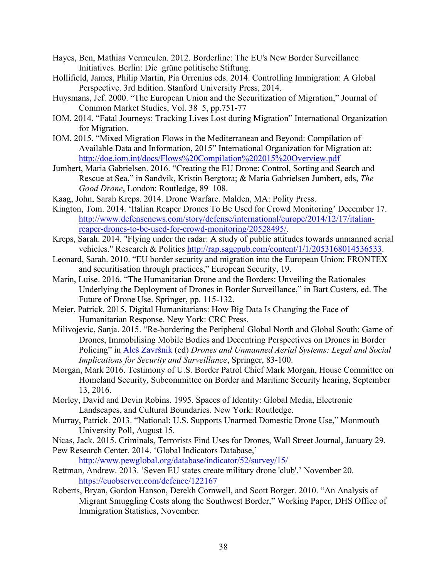- Hayes, Ben, Mathias Vermeulen. 2012. Borderline: The EU's New Border Surveillance Initiatives. Berlin: Die grüne politische Stiftung.
- Hollifield, James, Philip Martin, Pia Orrenius eds. 2014. Controlling Immigration: A Global Perspective. 3rd Edition. Stanford University Press, 2014.
- Huysmans, Jef. 2000. "The European Union and the Securitization of Migration," Journal of Common Market Studies, Vol. 38 5, pp.751-77
- IOM. 2014. "Fatal Journeys: Tracking Lives Lost during Migration" International Organization for Migration.
- IOM. 2015. "Mixed Migration Flows in the Mediterranean and Beyond: Compilation of Available Data and Information, 2015" International Organization for Migration at: http://doe.iom.int/docs/Flows%20Compilation%202015%20Overview.pdf
- Jumbert, Maria Gabrielsen. 2016. "Creating the EU Drone: Control, Sorting and Search and Rescue at Sea," in Sandvik, Kristin Bergtora; & Maria Gabrielsen Jumbert, eds, *The Good Drone*, London: Routledge, 89–108.
- Kaag, John, Sarah Kreps. 2014. Drone Warfare. Malden, MA: Polity Press.
- Kington, Tom. 2014. 'Italian Reaper Drones To Be Used for Crowd Monitoring' December 17. http://www.defensenews.com/story/defense/international/europe/2014/12/17/italianreaper-drones-to-be-used-for-crowd-monitoring/20528495/.
- Kreps, Sarah. 2014. "Flying under the radar: A study of public attitudes towards unmanned aerial vehicles." Research & Politics http://rap.sagepub.com/content/1/1/2053168014536533.
- Leonard, Sarah. 2010. "EU border security and migration into the European Union: FRONTEX and securitisation through practices," European Security, 19.
- Marin, Luise. 2016. "The Humanitarian Drone and the Borders: Unveiling the Rationales Underlying the Deployment of Drones in Border Surveillance," in Bart Custers, ed. The Future of Drone Use. Springer, pp. 115-132.
- Meier, Patrick. 2015. Digital Humanitarians: How Big Data Is Changing the Face of Humanitarian Response. New York: CRC Press.
- Milivojevic, Sanja. 2015. "Re-bordering the Peripheral Global North and Global South: Game of Drones, Immobilising Mobile Bodies and Decentring Perspectives on Drones in Border Policing" in Aleš Završnik (ed) *Drones and Unmanned Aerial Systems: Legal and Social Implications for Security and Surveillance*, Springer, 83-100.
- Morgan, Mark 2016. Testimony of U.S. Border Patrol Chief Mark Morgan, House Committee on Homeland Security, Subcommittee on Border and Maritime Security hearing, September 13, 2016.
- Morley, David and Devin Robins. 1995. Spaces of Identity: Global Media, Electronic Landscapes, and Cultural Boundaries. New York: Routledge.
- Murray, Patrick. 2013. "National: U.S. Supports Unarmed Domestic Drone Use," Monmouth University Poll, August 15.
- Nicas, Jack. 2015. Criminals, Terrorists Find Uses for Drones, Wall Street Journal, January 29.
- Pew Research Center. 2014. 'Global Indicators Database,'

http://www.pewglobal.org/database/indicator/52/survey/15/

Rettman, Andrew. 2013. 'Seven EU states create military drone 'club'.' November 20. https://euobserver.com/defence/122167

Roberts, Bryan, Gordon Hanson, Derekh Cornwell, and Scott Borger. 2010. "An Analysis of Migrant Smuggling Costs along the Southwest Border," Working Paper, DHS Office of Immigration Statistics, November.